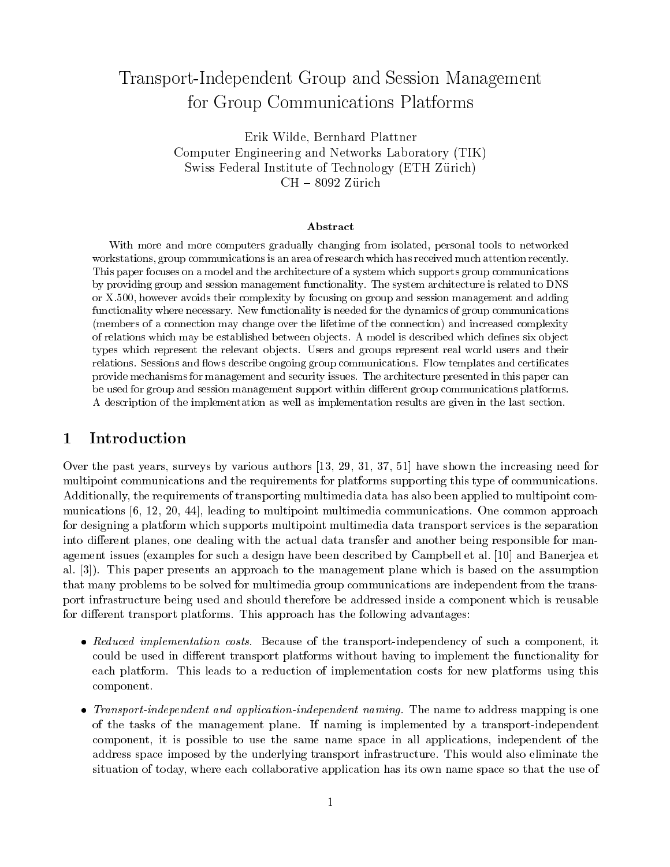# Transport-Independent Group and Session Management for Group Communications Platforms

Erik Wilde, Bernhard Plattner Computer Engineering and Networks Laboratory (TIK) Swiss Federal Institute of Technology (ETH Zurich)  $\cup$ H  $\cup$   $\cup$   $\in$   $\cup$   $\in$   $\cup$   $\in$   $\cup$   $\in$   $\cup$   $\in$   $\cup$   $\in$   $\cup$   $\in$   $\cup$   $\in$   $\cup$   $\in$   $\cup$   $\in$   $\cup$   $\in$   $\cup$   $\in$   $\cup$   $\in$   $\cup$   $\in$   $\cup$   $\in$   $\cup$   $\in$   $\cup$   $\in$   $\cup$   $\in$   $\cup$   $\in$   $\cup$   $\in$   $\cup$   $\in$ 

#### Abstract

With more and more computers gradually changing from isolated, personal tools to networked workstations, group communications is an area of research which has received much attention recently. This paper focuses on a model and the architecture of a system which supports group communications by providing group and session management functionality. The system architecture is related to DNS or X.500, however avoids their complexity by focusing on group and session management and adding functionality where necessary. New functionality is needed for the dynamics of group communications (members of a connection may change over the lifetime of the connection) and increased complexity of relations which may be established between ob jects. A model is described which denes six ob ject types which represent the relevant ob jects. Users and groups represent real world users and their relations. Sessions and flows describe ongoing group communications. Flow templates and certificates provide mechanisms for management and security issues. The architecture presented in this paper can be used for group and session management support within different group communications platforms. A description of the implementation as well as implementation results are given in the last section.

#### 1Introduction

Over the past years, surveys by various authors [13, 29, 31, 37, 51] have shown the increasing need for multipoint communications and the requirements for platforms supporting this type of communications. Additionally, the requirements of transporting multimedia data has also been applied to multipoint communications [6, 12, 20, 44], leading to multipoint multimedia communications. One common approach for designing a platform which supports multipoint multimedia data transport services is the separation into different planes, one dealing with the actual data transfer and another being responsible for management issues (examples for such a design have been described by Campbell et al. [10] and Banerjea et al. [3]). This paper presents an approach to the management plane which is based on the assumption that many problems to be solved for multimedia group communications are independent from the transport infrastructure being used and should therefore be addressed inside a component which is reusable for different transport platforms. This approach has the following advantages:

- Reduced implementation costs. Because of the transport-independency of such a component, it could be used in different transport platforms without having to implement the functionality for each platform. This leads to a reduction of implementation costs for new platforms using this component.
- Transport-independent and application-independent naming. The name to address mapping is one of the tasks of the management plane. If naming is implemented by a transport-independent component, it is possible to use the same name space in all applications, independent of the address space imposed by the underlying transport infrastructure. This would also eliminate the situation of today, where each collaborative application has its own name space so that the use of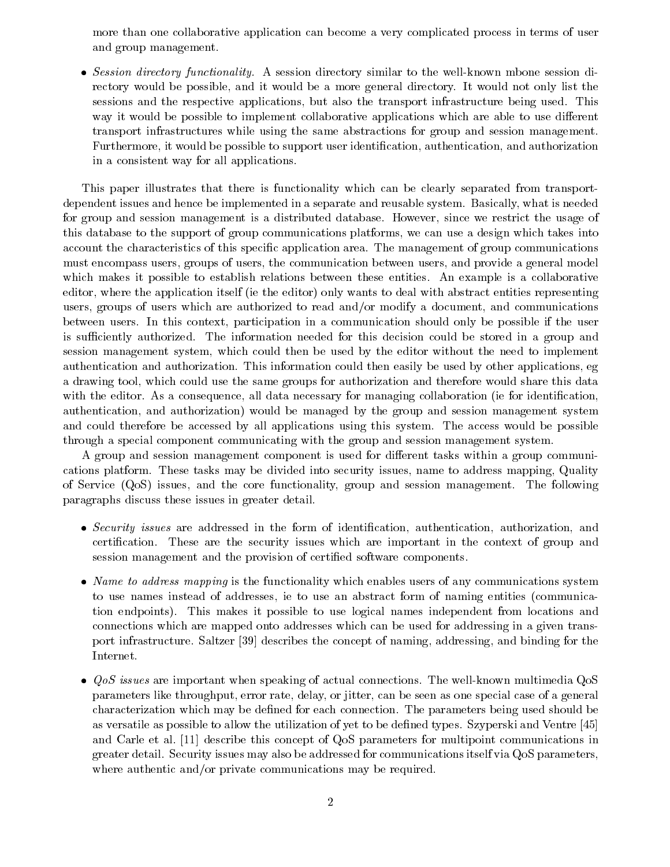more than one collaborative application can become a very complicated process in terms of user and group management.

 Session directory functionality. A session directory similar to the well-known mbone session directory would be possible, and it would be a more general directory. It would not only list the sessions and the respective applications, but also the transport infrastructure being used. This way it would be possible to implement collaborative applications which are able to use different transport infrastructures while using the same abstractions for group and session management. Furthermore, it would be possible to support user identication, authentication, and authorization in a consistent way for all applications.

This paper illustrates that there is functionality which can be clearly separated from transportdependent issues and hence be implemented in a separate and reusable system. Basically, what is needed for group and session management is a distributed database. However, since we restrict the usage of this database to the support of group communications platforms, we can use a design which takes into account the characteristics of this specific application area. The management of group communications must encompass users, groups of users, the communication between users, and provide a general model which makes it possible to establish relations between these entities. An example is a collaborative editor, where the application itself (ie the editor) only wants to deal with abstract entities representing users, groups of users which are authorized to read and/or modify a document, and communications between users. In this context, participation in a communication should only be possible if the user is sufficiently authorized. The information needed for this decision could be stored in a group and session management system, which could then be used by the editor without the need to implement authentication and authorization. This information could then easily be used by other applications, eg a drawing tool, which could use the same groups for authorization and therefore would share this data with the editor. As a consequence, all data necessary for managing collaboration (ie for identification, authentication, and authorization) would be managed by the group and session management system and could therefore be accessed by all applications using this system. The access would be possible through a special component communicating with the group and session management system.

A group and session management component is used for different tasks within a group communications platform. These tasks may be divided into security issues, name to address mapping, Quality of Service (QoS) issues, and the core functionality, group and session management. The following paragraphs discuss these issues in greater detail.

- Security issues are addressed in the form of identication, authentication, authorization, and certication. These are the security issues which are important in the context of group and session management and the provision of certied software components.
- Name to address mapping is the functionality which enables users of any communications system to use names instead of addresses, ie to use an abstract form of naming entities (communication endpoints). This makes it possible to use logical names independent from locations and connections which are mapped onto addresses which can be used for addressing in a given transport infrastructure. Saltzer [39] describes the concept of naming, addressing, and binding for the Internet.
- QoS issues are important when speaking of actual connections. The well-known multimedia QoS parameters like throughput, error rate, delay, or jitter, can be seen as one special case of a general characterization which may be dened for each connection. The parameters being used should be as versatile as possible to allow the utilization of yet to be dened types. Szyperski and Ventre [45] and Carle et al. [11] describe this concept of QoS parameters for multipoint communications in greater detail. Security issues may also be addressed for communications itself via QoS parameters, where authentic and/or private communications may be required.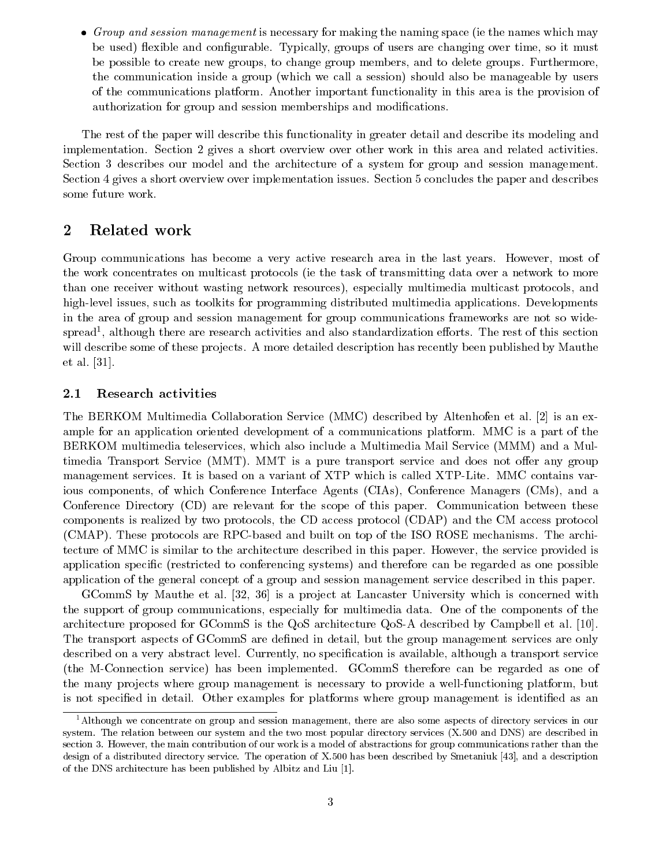$G$ roup and session management is necessary for management is necessary for making space (ie the names which may which may which may which may which may which may which may which may which may which may which may which ma be used) flexible and configurable. Typically, groups of users are changing over time, so it must be possible to create new groups, to change group members, and to delete groups. Furthermore, the communication inside a group (which we call a session) should also be manageable by users of the communications platform. Another important functionality in this area is the provision of authorization for group and session memberships and modications.

The rest of the paper will describe this functionality in greater detail and describe its modeling and implementation. Section 2 gives a short overview over other work in this area and related activities. Section 3 describes our model and the architecture of a system for group and session management. Section 4 gives a short overview over implementation issues. Section 5 concludes the paper and describes some future work.

#### 2Related work

Group communications has become a very active research area in the last years. However, most of the work concentrates on multicast protocols (ie the task of transmitting data over a network to more than one receiver without wasting network resources), especially multimedia multicast protocols, and high-level issues, such as toolkits for programming distributed multimedia applications. Developments in the area of group and session management for group communications frameworks are not so wide $s$ pread), anthough there are research activities and also standardization enorts. The rest of this section will describe some of these projects. A more detailed description has recently been published by Mauthe et al. [31].

## 2.1 Research activities

The BERKOM Multimedia Collaboration Service (MMC) described by Altenhofen et al. [2] is an example for an application oriented development of a communications platform. MMC is a part of the BERKOM multimedia teleservices, which also include a Multimedia Mail Service (MMM) and a Multimedia Transport Service (MMT). MMT is a pure transport service and does not offer any group management services. It is based on a variant of XTP which is called XTP-Lite. MMC contains various components, of which Conference Interface Agents (CIAs), Conference Managers (CMs), and a Conference Directory (CD) are relevant for the scope of this paper. Communication between these components is realized by two protocols, the CD access protocol (CDAP) and the CM access protocol (CMAP). These protocols are RPC-based and built on top of the ISO ROSE mechanisms. The architecture of MMC is similar to the architecture described in this paper. However, the service provided is application specific (restricted to conferencing systems) and therefore can be regarded as one possible application of the general concept of a group and session management service described in this paper.

GCommS by Mauthe et al. [32, 36] is a project at Lancaster University which is concerned with the support of group communications, especially for multimedia data. One of the components of the architecture proposed for GCommS is the QoS architecture QoS-A described by Campbell et al. [10]. The transport aspects of GCommS are defined in detail, but the group management services are only described on a very abstract level. Currently, no specification is available, although a transport service (the M-Connection service) has been implemented. GCommS therefore can be regarded as one of the many projects where group management is necessary to provide a well-functioning platform, but is not specified in detail. Other examples for platforms where group management is identified as an

<sup>1</sup>Although we concentrate on group and session management, there are also some aspects of directory services in our system. The relation between our system and the two most popular directory services (X.500 and DNS) are described in section 3. However, the main contribution of our work is a model of abstractions for group communications rather than the design of a distributed directory service. The operation of X.500 has been described by Smetaniuk [43], and a description of the DNS architecture has been published by Albitz and Liu [1].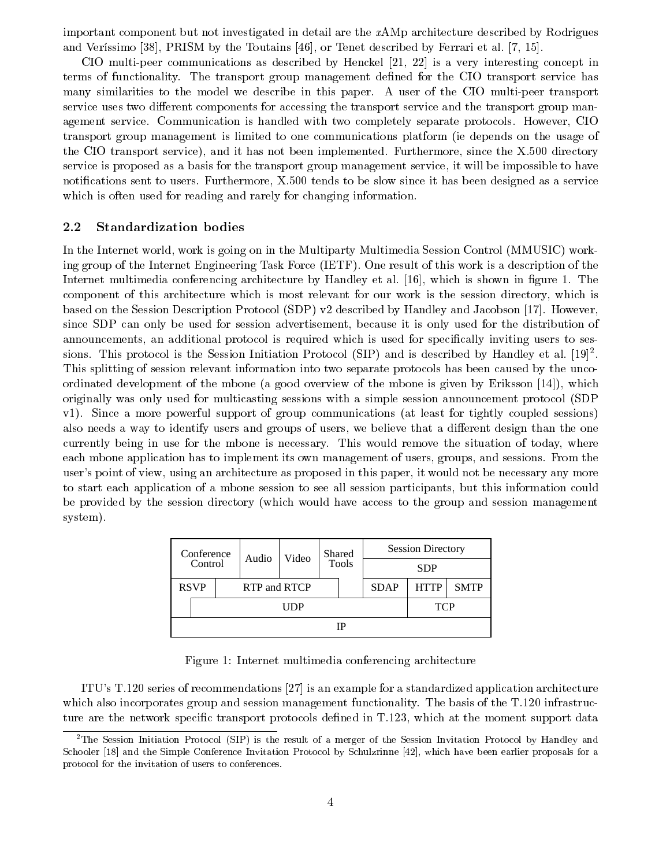important component but not investigated in detail are the xAMp architecture described by Rodrigues and Veríssimo  $[38]$ , PRISM by the Toutains  $[46]$ , or Tenet described by Ferrari et al.  $[7, 15]$ .

CIO multi-peer communications as described by Henckel [21, 22] is a very interesting concept in terms of functionality. The transport group management defined for the CIO transport service has many similarities to the model we describe in this paper. A user of the CIO multi-peer transport service uses two different components for accessing the transport service and the transport group management service. Communication is handled with two completely separate protocols. However, CIO transport group management is limited to one communications platform (ie depends on the usage of the CIO transport service), and it has not been implemented. Furthermore, since the X.500 directory service is proposed as a basis for the transport group management service, it will be impossible to have notifications sent to users. Furthermore, X.500 tends to be slow since it has been designed as a service which is often used for reading and rarely for changing information.

#### 2.2 Standardization bodies

In the Internet world, work is going on in the Multiparty Multimedia Session Control (MMUSIC) working group of the Internet Engineering Task Force (IETF). One result of this work is a description of the Internet multimedia conferencing architecture by Handley et al. [16], which is shown in figure 1. The component of this architecture which is most relevant for our work is the session directory, which is based on the Session Description Protocol (SDP) v2 described by Handley and Jacobson [17]. However, since SDP can only be used for session advertisement, because it is only used for the distribution of announcements, an additional protocol is required which is used for specically inviting users to sessions. This protocol is the Session Initiation Protocol (SIP) and is described by Handley et al. [19]<sup>2</sup> . This splitting of session relevant information into two separate protocols has been caused by the uncoordinated development of the mbone (a good overview of the mbone is given by Eriksson [14]), which originally was only used for multicasting sessions with a simple session announcement protocol (SDP v1). Since a more powerful support of group communications (at least for tightly coupled sessions) also needs a way to identify users and groups of users, we believe that a different design than the one currently being in use for the mbone is necessary. This would remove the situation of today, where each mbone application has to implement its own management of users, groups, and sessions. From the user's point of view, using an architecture as proposed in this paper, it would not be necessary any more to start each application of a mbone session to see all session participants, but this information could be provided by the session directory (which would have access to the group and session management system).

|             |     | Conference<br>Control |                     | Audio | Video | Shared       |  | <b>Session Directory</b> |             |             |  |
|-------------|-----|-----------------------|---------------------|-------|-------|--------------|--|--------------------------|-------------|-------------|--|
|             |     |                       |                     |       |       | <b>Tools</b> |  | <b>SDP</b>               |             |             |  |
| <b>RSVP</b> |     |                       | <b>RTP and RTCP</b> |       |       |              |  | <b>SDAP</b>              | <b>HTTP</b> | <b>SMTP</b> |  |
|             | UDP |                       |                     |       |       |              |  |                          | <b>TCP</b>  |             |  |
|             | IΡ  |                       |                     |       |       |              |  |                          |             |             |  |

Figure 1: Internet multimedia conferencing architecture

ITU's T.120 series of recommendations [27] is an example for a standardized application architecture which also incorporates group and session management functionality. The basis of the T.120 infrastructure are the network specific transport protocols defined in T.123, which at the moment support data

<sup>2</sup>The Session Initiation Protocol (SIP) is the result of a merger of the Session Invitation Protocol by Handley and Schooler [18] and the Simple Conference Invitation Protocol by Schulzrinne [42], which have been earlier proposals for a protocol for the invitation of users to conferences.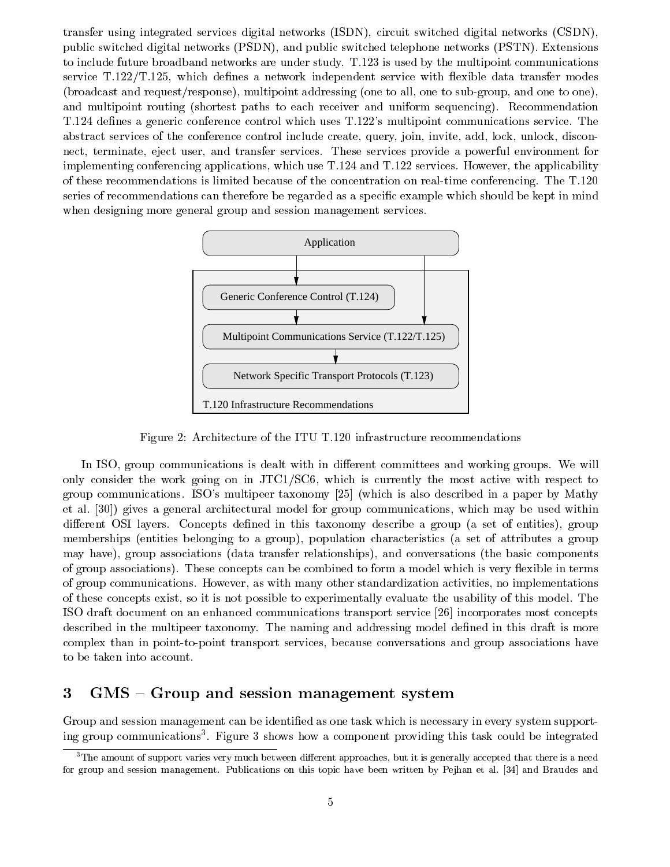transfer using integrated services digital networks (ISDN), circuit switched digital networks (CSDN), public switched digital networks (PSDN), and public switched telephone networks (PSTN). Extensions to include future broadband networks are under study. T.123 is used by the multipoint communications service  $T.122/T.125$ , which defines a network independent service with flexible data transfer modes (broadcast and request/response), multipoint addressing (one to all, one to sub-group, and one to one), and multipoint routing (shortest paths to each receiver and uniform sequencing). Recommendation T.124 defines a generic conference control which uses T.122's multipoint communications service. The abstract services of the conference control include create, query, join, invite, add, lock, unlock, disconnect, terminate, eject user, and transfer services. These services provide a powerful environment for implementing conferencing applications, which use T.124 and T.122 services. However, the applicability of these recommendations is limited because of the concentration on real-time conferencing. The T.120 series of recommendations can therefore be regarded as a specic example which should be kept in mind when designing more general group and session management services.



Figure 2: Architecture of the ITU T.120 infrastructure recommendations

In ISO, group communications is dealt with in different committees and working groups. We will only consider the work going on in JTC1/SC6, which is currently the most active with respect to group communications. ISO's multipeer taxonomy [25] (which is also described in a paper by Mathy et al. [30]) gives a general architectural model for group communications, which may be used within different OSI layers. Concepts defined in this taxonomy describe a group (a set of entities), group memberships (entities belonging to a group), population characteristics (a set of attributes a group may have), group associations (data transfer relationships), and conversations (the basic components of group associations). These concepts can be combined to form a model which is very flexible in terms of group communications. However, as with many other standardization activities, no implementations of these concepts exist, so it is not possible to experimentally evaluate the usability of this model. The ISO draft document on an enhanced communications transport service [26] incorporates most concepts described in the multipeer taxonomy. The naming and addressing model defined in this draft is more complex than in point-to-point transport services, because conversations and group associations have to be taken into account.

#### 3 $GMS - Group$  and session management system

Group and session management can be identified as one task which is necessary in every system supporting group communications . Figure 5 shows how a component providing this task could be integrated

 $3$ The amount of support varies very much between different approaches, but it is generally accepted that there is a need for group and session management. Publications on this topic have been written by Pejhan et al. [34] and Braudes and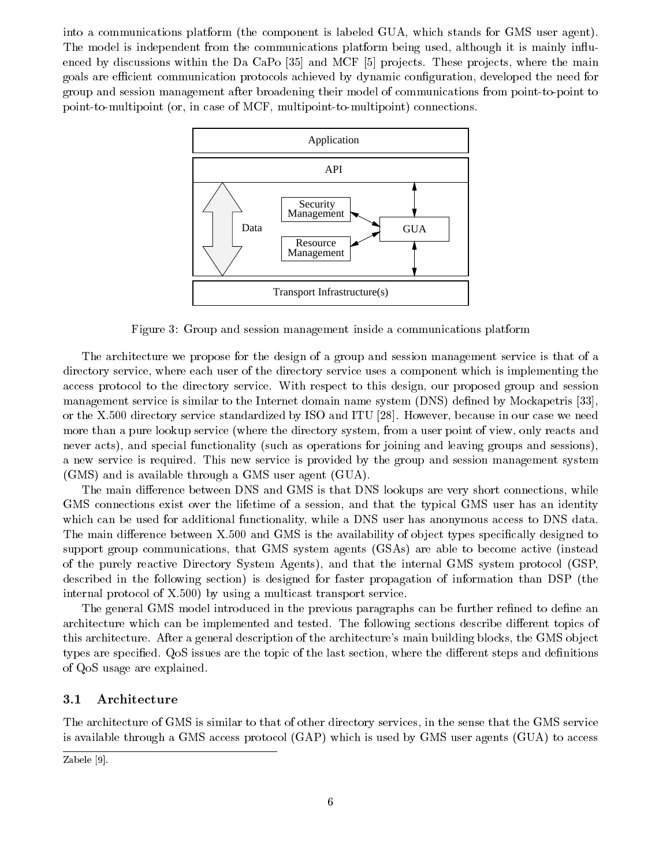into a communications platform (the component is labeled GUA, which stands for GMS user agent). The model is independent from the communications platform being used, although it is mainly influenced by discussions within the Da CaPo  $[35]$  and MCF  $[5]$  projects. These projects, where the main goals are efficient communication protocols achieved by dynamic configuration, developed the need for group and session management after broadening their model of communications from point-to-point to point-to-multipoint (or, in case of MCF, multipoint-to-multipoint) connections.



Figure 3: Group and session management inside a communications platform

The architecture we propose for the design of a group and session management service is that of a directory service, where each user of the directory service uses a component which is implementing the access protocol to the directory service. With respect to this design, our proposed group and session management service is similar to the Internet domain name system (DNS) defined by Mockapetris [33], or the X.500 directory service standardized by ISO and ITU [28]. However, because in our case we need more than a pure lookup service (where the directory system, from a user point of view, only reacts and never acts), and special functionality (such as operations for joining and leaving groups and sessions), a new service is required. This new service is provided by the group and session management system (GMS) and is available through a GMS user agent (GUA).

The main difference between DNS and GMS is that DNS lookups are very short connections, while GMS connections exist over the lifetime of a session, and that the typical GMS user has an identity which can be used for additional functionality, while a DNS user has anonymous access to DNS data. The main difference between X.500 and GMS is the availability of object types specifically designed to support group communications, that GMS system agents (GSAs) are able to become active (instead of the purely reactive Directory System Agents),and that the internal GMS system protocol(GSP, described in the following section) is designed for faster propagation of information than DSP (the internal protocol of X.500) by using a multicast transport service.

The general GMS model introduced in the previous paragraphs can be further refined to define an architecture which can be implemented and tested. The following sections describe different topics of this architecture. After a general description of the architecture's main building blocks, the GMS object types are specified. QoS issues are the topic of the last section, where the different steps and definitions of QoS usage are explained.

### 3.1 Architecture

The architecture of GMS is similar to that of other directory services, in the sense that the GMS service is available through a GMS access protocol (GAP) which is used by GMS user agents (GUA) to access

Zabele [9].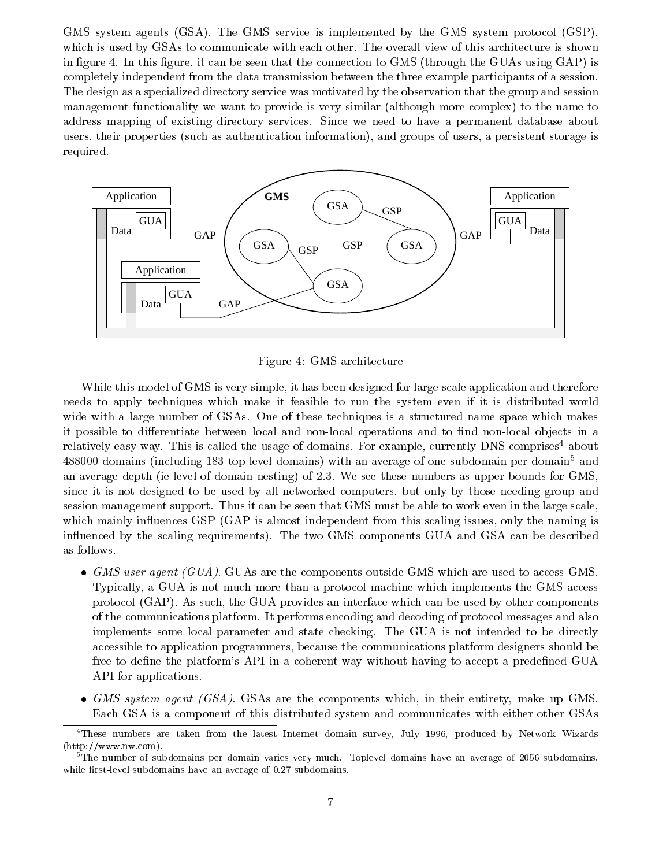GMS system agents (GSA). The GMS service is implemented by the GMS system protocol (GSP), which is used by GSAs to communicate with each other. The overall view of this architecture is shown in figure 4. In this figure, it can be seen that the connection to GMS (through the GUAs using GAP) is completely independent from the data transmission between the three example participants of a session. The design as a specialized directory service was motivated by the observation that the group and session management functionality we want to provide is very similar (although more complex) to the name to address mapping of existing directory services. Since we need to have a permanent database about users, their properties (such as authentication information), and groups of users, a persistent storage is required.



Figure 4: GMS architecture

While this model of GMS is very simple, it has been designed for large scale application and therefore needs to apply techniques which make it feasible to run the system even if it is distributed world wide with a large number of GSAs. One of these techniques is a structured name space which makes it possible to differentiate between local and non-local operations and to find non-local objects in a relatively easy way. This is called the usage of domains. For example, currently DNS comprises<sup>4</sup> about 488000 domains (including 183 top-level domains) with an average of one subdomain per domain<sup>5</sup> and an average depth (ie level of domain nesting) of 2.3. We see these numbers as upper bounds for GMS, since it is not designed to be used by all networked computers, but only by those needing group and session management support. Thus it can be seen that GMS must be able to work even in the large scale, which mainly influences GSP (GAP is almost independent from this scaling issues, only the naming is in
uenced by the scaling requirements). The two GMS components GUA and GSA can be described as follows.

- GMS user agent (GUA). Guas are the components outside GMS which are used to access GMS which are used to access Typically, a GUA is not much more than a protocol machine which implements the GMS access protocol (GAP). As such, the GUA provides an interface which can be used by other components of the communications platform. It performs encoding and decoding of protocol messages and also implements some local parameter and state checking. The GUA is not intended to be directly accessible to application programmers, because the communications platform designers should be free to define the platform's API in a coherent way without having to accept a predefined GUA API for applications.
- GMS system agent (GSA). GSAs are the components which, in their entirety, make up GMS. Each GSA is a component of this distributed system and communicates with either other GSAs

<sup>4</sup>These numbers are taken from the latest Internet domain survey, July 1996, produced by Network Wizards (http://www.nw.com).

 $5$ The number of subdomains per domain varies very much. Toplevel domains have an average of 2056 subdomains, while first-level subdomains have an average of 0.27 subdomains.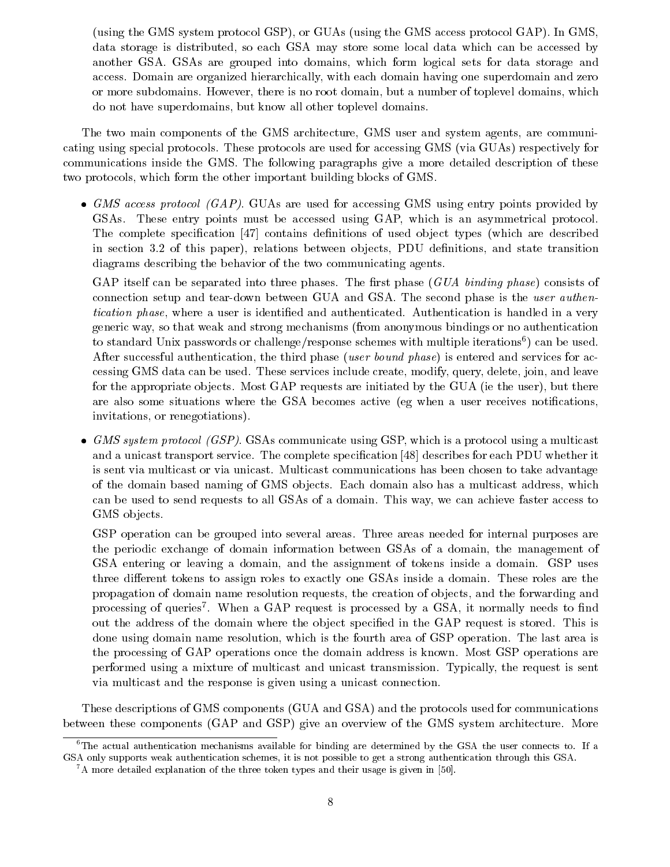(using the GMS system protocol GSP), or GUAs (using the GMS access protocol GAP). In GMS, data storage is distributed, so each GSA may store some local data which can be accessed by another GSA. GSAs are grouped into domains, which form logical sets for data storage and access. Domain are organized hierarchically, with each domain having one superdomain and zero or more subdomains. However, there is no root domain, but a number of toplevel domains, which do not have superdomains, but know all other toplevel domains.

The two main components of the GMS architecture, GMS user and system agents, are communicating using special protocols. These protocols are used for accessing GMS (via GUAs) respectively for communications inside the GMS. The following paragraphs give a more detailed description of these two protocols, which form the other important building blocks of GMS.

 GMS access protocol (GAP). GUAs are used for accessing GMS using entry points provided by GSAs. These entry points must be accessed using GAP, which is an asymmetrical protocol. The complete specification [47] contains definitions of used object types (which are described in section 3.2 of this paper), relations between objects, PDU definitions, and state transition diagrams describing the behavior of the two communicating agents.

GAP itself can be separated into three phases. The first phase  $(GUA\ binding\ phase)$  consists of connection setup and tear-down between GUA and GSA. The second phase is the user authentication phase, where a user is identified and authenticated. Authentication is handled in a very generic way, so that weak and strong mechanisms (from anonymous bindings or no authentication to standard Unix passwords or challenge/response schemes with multiple iterations<sup>6</sup> ) can be used. After successful authentication, the third phase *(user bound phase)* is entered and services for accessing GMS data can be used. These services include create, modify, query, delete, join, and leave for the appropriate objects. Most GAP requests are initiated by the GUA (ie the user), but there are also some situations where the GSA becomes active (eg when a user receives notifications, invitations, or renegotiations).

 GMS system protocol (GSP). GSAs communicate using GSP, which is a protocol using a multicast and a unicast transport service. The complete specification [48] describes for each PDU whether it is sent via multicast or via unicast. Multicast communications has been chosen to take advantage of the domain based naming of GMS ob jects. Each domain also has a multicast address, which can be used to send requests to all GSAs of a domain. This way, we can achieve faster access to GMS objects.

GSP operation can be grouped into several areas. Three areas needed for internal purposes are the periodic exchange of domain information between GSAs of a domain, the management of GSA entering or leaving a domain, and the assignment of tokens inside a domain. GSP uses three different tokens to assign roles to exactly one GSAs inside a domain. These roles are the propagation of domain name resolution requests, the creation of objects, and the forwarding and processing of queries . When a GAP request is processed by a GSA, it normally needs to find out the address of the domain where the object specified in the GAP request is stored. This is done using domain name resolution, which is the fourth area of GSP operation. The last area is the processing of GAP operations once the domain address is known. Most GSP operations are performed using a mixture of multicast and unicast transmission. Typically, the request is sent via multicast and the response is given using a unicast connection.

These descriptions of GMS components (GUA and GSA) and the protocols used for communications between these components (GAP and GSP) give an overview of the GMS system architecture. More

 $6$ The actual authentication mechanisms available for binding are determined by the GSA the user connects to. If a GSA only supports weak authentication schemes, it is not possible to get a strong authentication through this GSA.

 $7A$  more detailed explanation of the three token types and their usage is given in [50].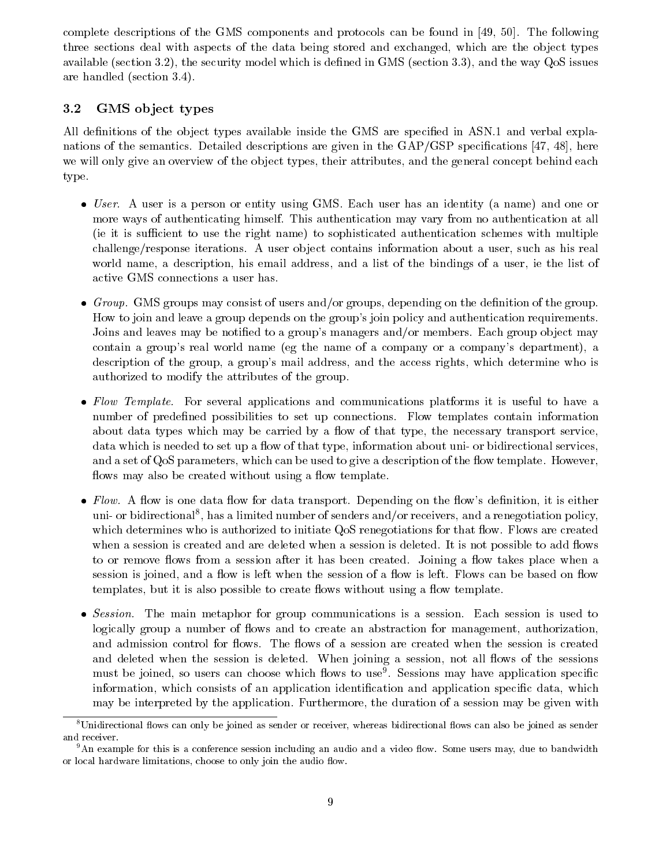complete descriptions of the GMS components and protocols can be found in [49, 50]. The following three sections deal with aspects of the data being stored and exchanged, which are the object types available (section 3.2), the security model which is defined in GMS (section 3.3), and the way  $\overline{Q}$  issues are handled (section 3.4).

# 3.2 GMS ob ject types

All definitions of the object types available inside the GMS are specified in ASN.1 and verbal explanations of the semantics. Detailed descriptions are given in the GAP/GSP specifications [47, 48], here we will only give an overview of the object types, their attributes, and the general concept behind each type.

- User. A user is a person orentity using GMS. Each user has an identity (a name) and one or more ways of authenticating himself. This authentication may vary from no authentication at all (ie it is sufficient to use the right name) to sophisticated authentication schemes with multiple challenge/response iterations. A user object contains information about a user, such as his real world name, a description, his email address, and a list of the bindings of a user, ie the list of active GMS connections a user has.
- Group. General general consists of users and the depending on the depending on the depending on the group. How to join and leave a group depends on the group's join policy and authentication requirements. Joins and leaves may be notified to a group's managers and/or members. Each group object may contain a group's real world name (eg the name of a company or a company's department), a description of the group, a group's mail address, and the access rights, which determine who is authorized to modify the attributes of the group.
- Flow Template. For several applications and communications platforms it is useful to have a number of predefined possibilities to set up connections. Flow templates contain information about data types which may be carried by a flow of that type, the necessary transport service, data which is needed to set up a flow of that type, information about uni- or bidirectional services, and a set of QoS parameters, which can be used to give a description of the flow template. However, flows may also be created without using a flow template.
- Flow. A flow is one data flow for data transport. Depending on the flow's definition, it is either uni- or bidirectional", has a limited number of senders and/or receivers, and a renegotiation policy, which determines who is authorized to initiate QoS renegotiations for that flow. Flows are created when a session is created and are deleted when a session is deleted. It is not possible to add flows to or remove flows from a session after it has been created. Joining a flow takes place when a session is joined, and a flow is left when the session of a flow is left. Flows can be based on flow templates, but it is also possible to create flows without using a flow template.
- Session. The main metaphor for group communications is a session. Each session is used to logically group a number of flows and to create an abstraction for management, authorization, and admission control for flows. The flows of a session are created when the session is created and deleted when the session is deleted. When joining a session, not all flows of the sessions  ${\rm mu}$ st de joined, so users can choose which nows to use . Sessions may have application specific information, which consists of an application identification and application specific data, which may be interpreted by the application. Furthermore, the duration of a session may be given with

<sup>&</sup>lt;sup>8</sup>Unidirectional flows can only be joined as sender or receiver, whereas bidirectional flows can also be joined as sender and receiver.

<sup>&</sup>lt;sup>9</sup>An example for this is a conference session including an audio and a video flow. Some users may, due to bandwidth or local hardware limitations, choose to only join the audio flow.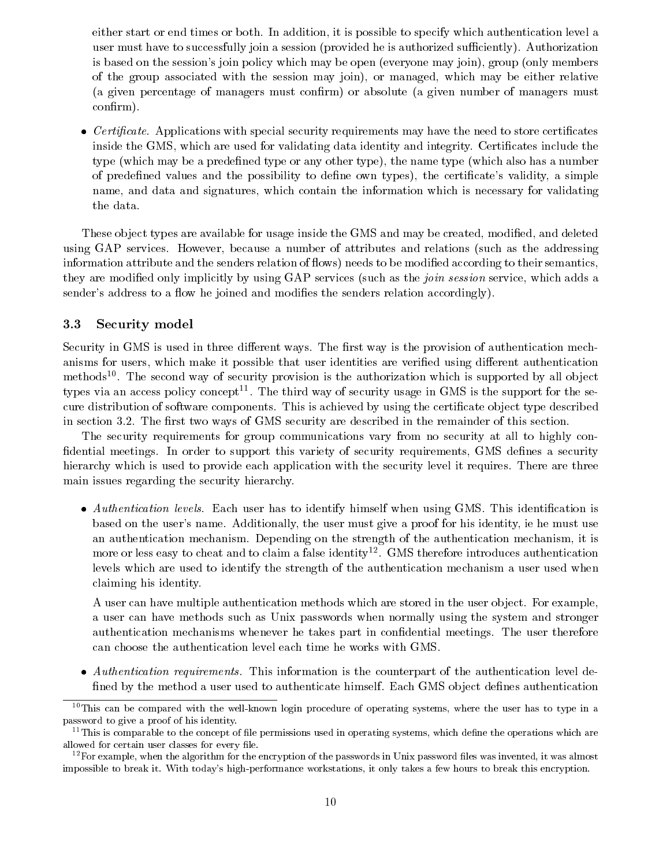either start or end times or both. In addition, it is possible to specify which authentication level a user must have to successfully join a session (provided he is authorized sufficiently). Authorization is based on the session's join policy which may be open (everyone may join), group (only members of the group associated with the session may join), or managed, which may be either relative (a given percentage of managers must confirm) or absolute (a given number of managers must  $\text{confirm}$ ).

 $\mathcal{C}$  certificate. Applications with special security requirements may have the need to store certificates may have the need to store certificates may have the need to store certificates may have the need to store cert inside the GMS, which are used for validating data identity and integrity. Certificates include the type (which may be a predefined type or any other type), the name type (which also has a number of predened values and the possibility to dene own types), the certicate's validity, a simple name, and data and signatures, which contain the information which is necessary for validating the data.

These object types are available for usage inside the GMS and may be created, modified, and deleted using GAP services. However, because a number of attributes and relations (such as the addressing information attribute and the senders relation of flows) needs to be modified according to their semantics, they are modified only implicitly by using GAP services (such as the *join session* service, which adds a sender's address to a flow he joined and modifies the senders relation accordingly).

### 3.3 Security model

Security in GMS is used in three different ways. The first way is the provision of authentication mechanisms for users, which make it possible that user identities are verified using different authentication methods10 . The second way of security provision is the authorization which is supported by all ob ject types via an access policy concept  $\cdot$  . The third way of security usage in GMS is the support for the secure distribution of software components. This is achieved by using the certificate object type described in section 3.2. The first two ways of GMS security are described in the remainder of this section.

The security requirements for group communications vary from no security at all to highly con fidential meetings. In order to support this variety of security requirements, GMS defines a security hierarchy which is used to provide each application with the security level it requires. There are three main issues regarding the security hierarchy.

Authentication levels. Each user has to identify himself when using  $\mathcal{A}$ based on the user's name. Additionally, the user must give a proof for his identity, ie he must use an authentication mechanism. Depending on the strength of the authentication mechanism, it is more or less easy to cheat and to claim a false identity  $\,$  . GMS therefore introduces authentication  $\,$ levels which are used to identify the strength of the authentication mechanism a user used when claiming his identity.

A user can have multiple authentication methods which are stored in the user object. For example, a user can have methods such as Unix passwords when normally using the system and stronger authentication mechanisms whenever he takes part in condential meetings. The user therefore can choose the authentication level each time he works with GMS.

 Authentication requirements. This information is the counterpart of the authentication level de fined by the method a user used to authenticate himself. Each GMS object defines authentication

 $10$ This can be compared with the well-known login procedure of operating systems, where the user has to type in a password to give a proof of his identity.

 $11$ This is comparable to the concept of file permissions used in operating systems, which define the operations which are allowed for certain user classes for every file.

 $12$ For example, when the algorithm for the encryption of the passwords in Unix password files was invented, it was almost impossible to break it. With today's high-performance workstations, it only takes a few hours to break this encryption.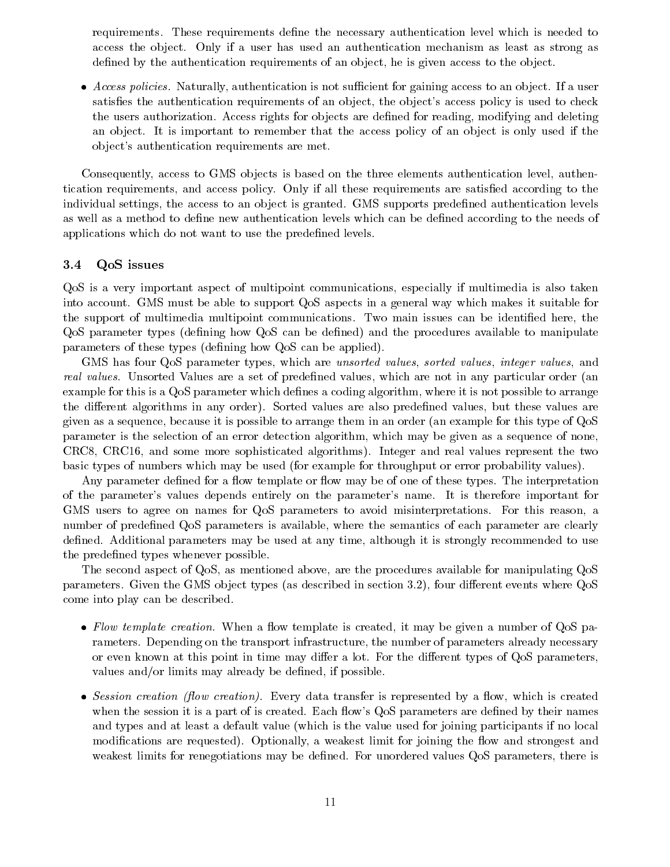requirements. These requirements define the necessary authentication level which is needed to access the object. Only if a user has used an authentication mechanism as least as strong as defined by the authentication requirements of an object, he is given access to the object.

 Access policies. Naturally, authentication is not sucient for gaining access to an ob ject. If a user satisfies the authentication requirements of an object, the object's access policy is used to check the users authorization. Access rights for objects are defined for reading, modifying and deleting an object. It is important to remember that the access policy of an object is only used if the ob ject's authentication requirements are met.

Consequently, access to GMS objects is based on the three elements authentication level, authentication requirements, and access policy. Only if all these requirements are satisfied according to the individual settings, the access to an object is granted. GMS supports predefined authentication levels as well as a method to define new authentication levels which can be defined according to the needs of applications which do not want to use the predefined levels.

### 3.4 QoS issues

QoS is a very important aspect of multipoint communications, especially if multimedia is also taken into account. GMS must be able to support QoS aspects in a general way which makes it suitable for the support of multimedia multipoint communications. Two main issues can be identified here, the QoS parameter types (defining how QoS can be defined) and the procedures available to manipulate parameters of these types (defining how QoS can be applied).

GMS has four QoS parameter types, which are *unsorted values, sorted values, integer values*, and real values. Unsorted Values are a set of predefined values, which are not in any particular order (an example for this is a QoS parameter which defines a coding algorithm, where it is not possible to arrange the different algorithms in any order). Sorted values are also predefined values, but these values are given as a sequence, because it is possible to arrange them in an order (an example for this type of QoS parameter is the selection of an error detection algorithm, which may be given as a sequence of none, CRC8, CRC16, and some more sophisticated algorithms). Integer and realvalues represent the two basic types of numbers which may be used (for example for throughput or error probability values).

Any parameter defined for a flow template or flow may be of one of these types. The interpretation of the parameter's values depends entirely on the parameter's name. It is therefore important for GMS users to agree on names for QoS parameters to avoid misinterpretations. For this reason, a number of predefined QoS parameters is available, where the semantics of each parameter are clearly defined. Additional parameters may be used at any time, although it is strongly recommended to use the predefined types whenever possible.

The second aspect of QoS, as mentioned above, are the procedures available for manipulating QoS parameters. Given the GMS object types (as described in section 3.2), four different events where QoS come into play can be described.

- Flow template creation. When a ow template is created, it may be given a number of QoS parameters. Depending on the transport infrastructure, the number of parameters already necessary or even known at this point in time may differ a lot. For the different types of QoS parameters, values and/or limits may already be defined, if possible.
- Session creation (
ow creation). Every data transfer is represented by a ow, which is created when the session it is a part of is created. Each flow's QoS parameters are defined by their names and types and at least a default value (which is the value used for joining participants if no local modifications are requested). Optionally, a weakest limit for joining the flow and strongest and weakest limits for renegotiations may be defined. For unordered values QoS parameters, there is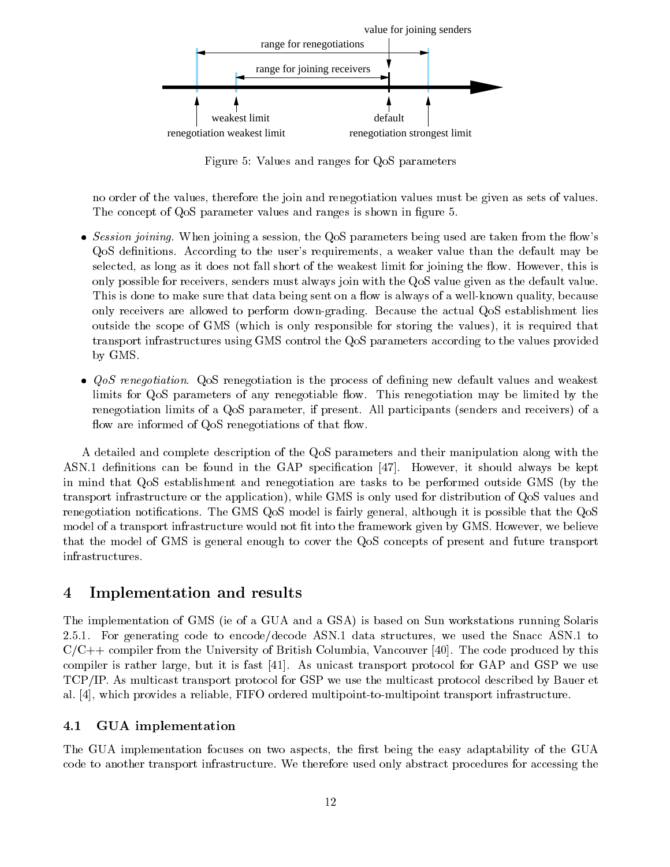

Figure 5: Values and ranges for QoS parameters

no order of the values, therefore the join and renegotiation values must be given as sets of values. The concept of QoS parameter values and ranges is shown in figure 5.

- Session joining. When joining a session, the QoS parameters being used are taken from the flow's QoS denitions. According to the user's requirements, a weaker value than the default may be selected, as long as it does not fall short of the weakest limit for joining the flow. However, this is only possible for receivers, senders must always join with the QoS value given as the default value. This is done to make sure that data being sent on a flow is always of a well-known quality, because only receivers are allowed to perform down-grading. Because the actual QoS establishment lies outside the scope of GMS (which is only responsible for storing the values), it is required that transport infrastructures using GMS control the QoS parameters according to the values provided by GMS.
- QoS renegotiation. QoS renegotiation is the process of dening new default values and weakest limits for QoS parameters of any renegotiable flow. This renegotiation may be limited by the renegotiation limits of a QoS parameter, if present. All participants (senders and receivers) of a flow are informed of QoS renegotiations of that flow.

A detailed and complete description of the QoS parameters and their manipulation along with the ASN.1 definitions can be found in the GAP specification  $[47]$ . However, it should always be kept in mind that QoS establishment and renegotiation are tasks to be performed outside GMS (by the transport infrastructure or the application), while GMS is only used for distribution of QoS values and renegotiation notications. The GMS QoS model is fairly general, although it is possible that the QoS model of a transport infrastructure would not fit into the framework given by GMS. However, we believe that the model of GMS is general enough to cover the QoS concepts of present and future transport infrastructures.

#### 4Implementation and results

The implementation of GMS (ie of a GUA and a GSA) is based on Sun workstations running Solaris 2.5.1. For generating code to encode/decode ASN.1 data structures, we used the Snacc ASN.1 to  $C/C++$  compiler from the University of British Columbia, Vancouver [40]. The code produced by this compiler is rather large, but it is fast [41]. As unicast transport protocol for GAP and GSP we use TCP/IP. As multicast transport protocol for GSP we use the multicast protocol described by Bauer et al. [4], which provides a reliable, FIFO ordered multipoint-to-multipoint transport infrastructure.

### 4.1 GUA implementation

The GUA implementation focuses on two aspects, the first being the easy adaptability of the GUA code to another transport infrastructure. We therefore used only abstract procedures for accessing the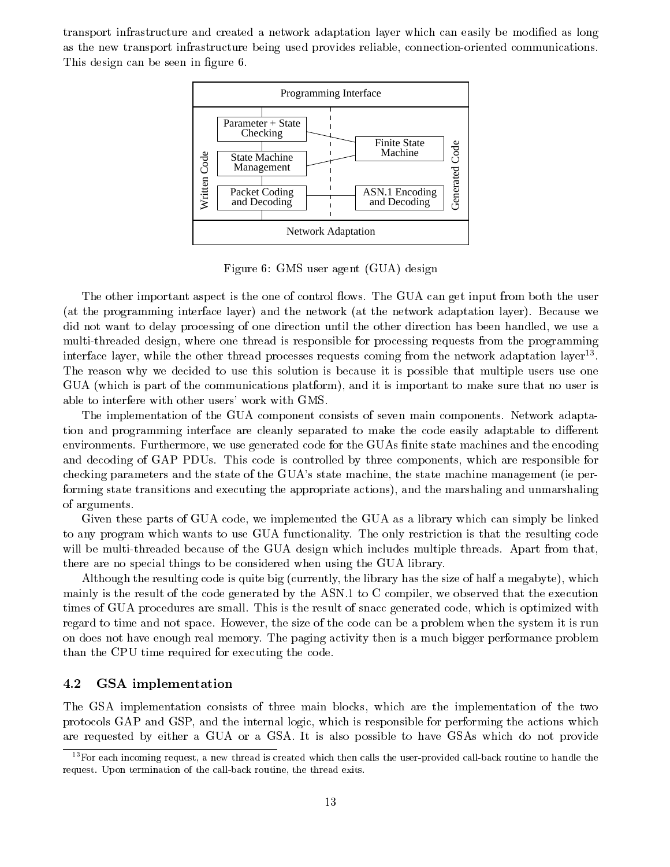transport infrastructure and created a network adaptation layer which can easily be modified as long as the new transport infrastructure being used provides reliable, connection-oriented communications. This design can be seen in figure 6.



Figure 6: GMS user agent (GUA) design

The other important aspect is the one of control flows. The GUA can get input from both the user (at the programming interface layer) and the network (at the network adaptation layer). Because we did not want to delay processing of one direction until the other direction has been handled, we use a multi-threaded design, where one thread is responsible for processing requests from the programming interface layer, while the other thread processes requests coming from the network adaptation layer $\lq$  . The reason why we decided to use this solution is because it is possible that multiple users use one GUA (which is part of the communications platform), and it is important to make sure that no user is able to interfere with other users' work with GMS.

The implementation of the GUA component consists of seven main components. Network adaptation and programming interface are cleanly separated to make the code easily adaptable to different environments. Furthermore, we use generated code for the GUAs finite state machines and the encoding and decoding of GAP PDUs. This code is controlled by three components, which are responsible for checking parameters and the state of the GUA's state machine, the state machine management (ie performing state transitions and executing the appropriate actions), and the marshaling and unmarshaling of arguments.

Given these parts of GUA code, we implemented the GUA as a library which can simply be linked to any program which wants to use GUA functionality. The only restriction is that the resulting code will be multi-threaded because of the GUA design which includes multiple threads. Apart from that, there are no special things to be considered when using the GUA library.

Although the resulting code is quite big (currently, the library has the size of half a megabyte), which mainly is the result of the code generated by the ASN.1 to C compiler, we observed that the execution times of GUA procedures are small. This is the result of snacc generated code, which is optimized with regard to time and not space. However, the size of the code can be a problem when the system it is run on does not have enough real memory. The paging activity then is a much bigger performance problem than the CPU time required for executing the code.

### 4.2 GSA implementation

The GSA implementation consists of three main blocks, which are the implementation of the two protocols GAP and GSP, and the internal logic, which is responsible for performing the actions which are requested by either a GUA or a GSA. It is also possible to have GSAs which do not provide

 $13$  For each incoming request, a new thread is created which then calls the user-provided call-back routine to handle the request. Upon termination of the call-back routine, the thread exits.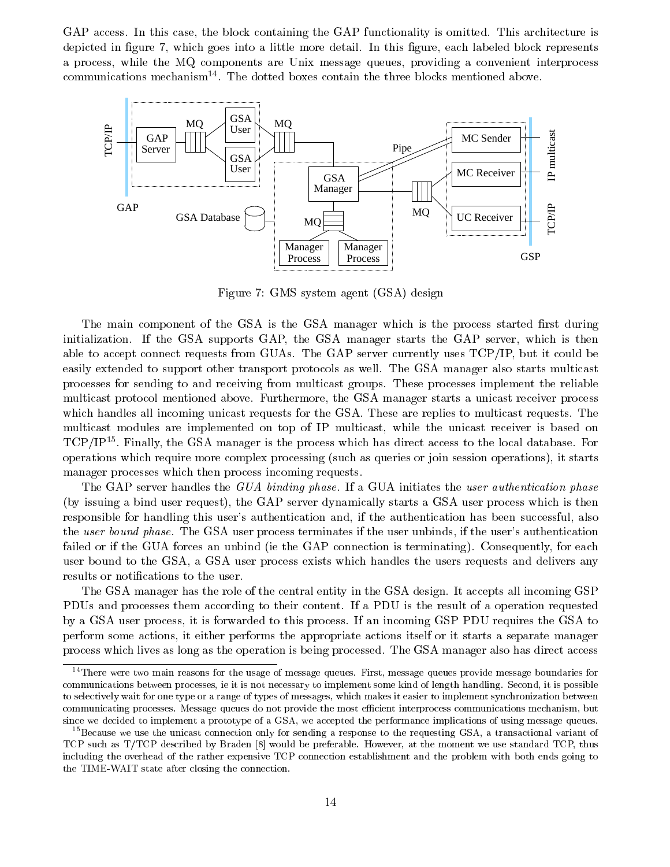GAP access. In this case, the block containing the GAP functionality is omitted. This architecture is depicted in figure 7, which goes into a little more detail. In this figure, each labeled block represents a process, while the MQ components are Unix message queues, providing a convenient interprocess communications mechanism<sup>14</sup> . The dotted boxes contain the three blocks mentioned above.



Figure 7: GMS system agent (GSA) design

The main component of the GSA is the GSA manager which is the process started first during initialization. If the GSA supports GAP, the GSA manager starts the GAP server, which is then able to accept connect requests from GUAs. The GAP server currently uses TCP/IP, but it could be easily extended to support other transport protocols as well. The GSA manager also starts multicast processes for sending to and receiving from multicast groups. These processes implement the reliable multicast protocol mentioned above. Furthermore, the GSA manager starts a unicast receiver process which handles all incoming unicast requests for the GSA. These are replies to multicast requests. The multicast modules are implemented on top of IP multicast, while the unicast receiver is based on TCP/IP15. Finally, the GSA manager is the process which has direct access to the local database. For operations which require more complex processing (such as queries or join session operations), it starts manager processes which then process incoming requests.

The GAP server handles the GUA binding phase. If a GUA initiates the user authentication phase (by issuing a bind user request), the GAP server dynamically starts a GSA user process which is then responsible for handling this user's authentication and, if the authentication has been successful, also the user bound phase. The GSA user process terminates if the user unbinds, if the user's authentication failed or if the GUA forces an unbind (ie the GAP connection is terminating). Consequently, for each user bound to the GSA, a GSA user process exists which handles the users requests and delivers any results or notifications to the user.

The GSA manager has the role of the central entity in the GSA design. It accepts all incoming GSP PDUs and processes them according to their content. If a PDU is the result of a operation requested by a GSA user process, it is forwarded to this process. If an incoming GSP PDU requires the GSA to perform some actions, it either performs the appropriate actions itself or it starts a separate manager process which lives as long as the operation is being processed. The GSA manager also has direct access

 $14$ There were two main reasons for the usage of message queues. First, message queues provide message boundaries for communications between processes, ie it is not necessary to implement some kind of length handling. Second, it is possible to selectively wait for one type or a range of types of messages, which makes it easier to implement synchronization between communicating processes. Message queues do not provide the most efficient interprocess communications mechanism, but since we decided to implement a prototype of a GSA, we accepted the performance implications of using message queues.

<sup>&</sup>lt;sup>15</sup>Because we use the unicast connection only for sending a response to the requesting GSA, a transactional variant of TCP such as T/TCP described by Braden [8] would be preferable. However, at the moment we use standard TCP, thus including the overhead of the rather expensive TCP connection establishment and the problem with both ends going to the TIME-WAIT state after closing the connection.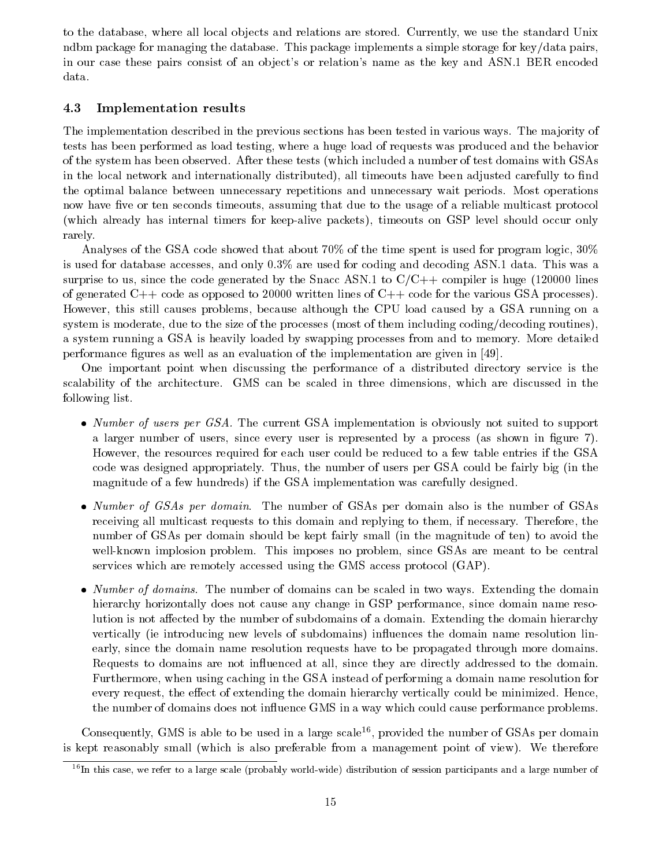to the database, where all local objects and relations are stored. Currently, we use the standard Unix ndbm package for managing the database. This package implements a simple storage for key/data pairs, in our case these pairs consist of an object's or relation's name as the key and ASN.1 BER encoded data.

### 4.3 Implementation results

The implementation described in the previous sections has been tested in various ways. The majority of tests has been performed as load testing, where a huge load of requests was produced and the behavior of the system has been observed. After these tests (which included a number of test domains with GSAs in the local network and internationally distributed), all timeouts have been adjusted carefully to find the optimal balance between unnecessary repetitions and unnecessary wait periods. Most operations now have five or ten seconds timeouts, assuming that due to the usage of a reliable multicast protocol (which already has internal timers for keep-alive packets), timeouts on GSP level should occur only rarely.

Analyses of the GSA code showed that about 70% of the time spent is used for program logic, 30% is used for database accesses, and only 0.3% are used for coding and decoding ASN.1 data. This was a surprise to us, since the code generated by the Snacc ASN.1 to  $C/C++$  compiler is huge (120000 lines of generated  $C++$  code as opposed to 20000 written lines of  $C++$  code for the various GSA processes). However, this still causes problems, because although the CPU load caused by a GSA running on a system is moderate, due to the size of the processes (most of them including coding/decoding routines), a system running a GSA is heavily loaded by swapping processes from and to memory. More detailed performance gures as well as an evaluation of the implementation are given in [49].

One important point when discussing the performance of a distributed directory service is the scalability of the architecture. GMS can be scaled in three dimensions, which are discussed in the following list.

- Number of users per GSA. The current GSA implementation is obviously not suited to support a larger number of users, since every user is represented by a process (as shown in figure 7). However, the resources required for each user could be reduced to a few table entries if the GSA code was designed appropriately. Thus, the number of users per GSA could be fairly big (in the magnitude of a few hundreds) if the GSA implementation was carefully designed.
- Number of GSAs per domain. The number of GSAs per domain also is the number of GSAs receiving all multicast requests to this domain and replying to them, if necessary. Therefore, the number of GSAs per domain should be kept fairly small (in the magnitude of ten) to avoid the well-known implosion problem. This imposes no problem, since GSAs are meant to be central services which are remotely accessed using the GMS access protocol (GAP).
- Number of domains. The number of domains can be scaled in two ways. Extending the domain hierarchy horizontally does not cause any change in GSP performance, since domain name resolution is not affected by the number of subdomains of a domain. Extending the domain hierarchy vertically (ie introducing new levels of subdomains) in
uences the domain name resolution linearly, since the domain name resolution requests have to be propagated through more domains. Requests to domains are not influenced at all, since they are directly addressed to the domain. Furthermore, when using caching in the GSA instead of performing a domain name resolution for every request, the effect of extending the domain hierarchy vertically could be minimized. Hence, the number of domains does not influence GMS in a way which could cause performance problems.

Consequently, GMS is able to be used in a large scale<sup>16</sup>, provided the number of GSAs per domain is kept reasonably small (which is also preferable from a management point of view). We therefore

<sup>&</sup>lt;sup>16</sup>In this case, we refer to a large scale (probably world-wide) distribution of session participants and a large number of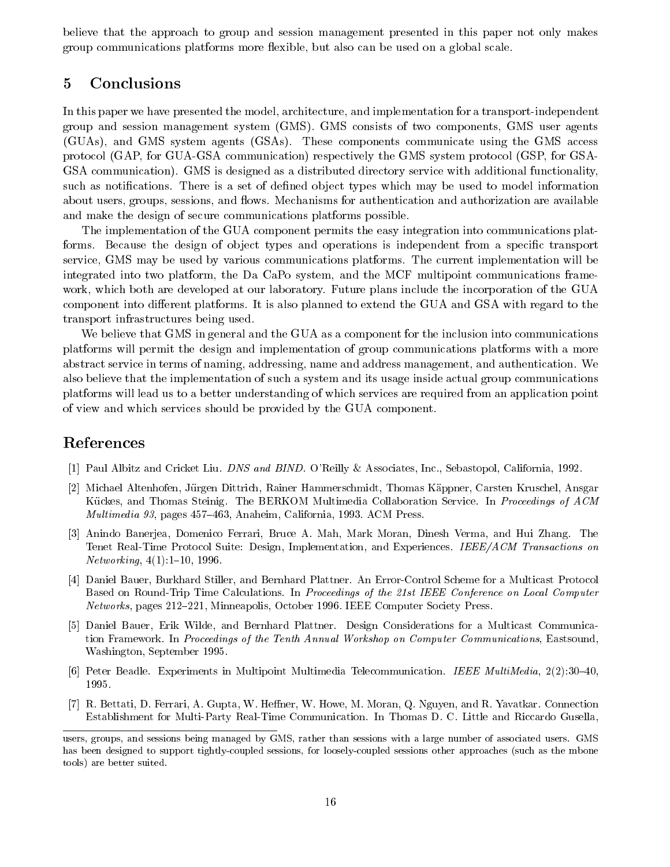believe that the approach to group and session management presented in this paper not only makes group communications platforms more flexible, but also can be used on a global scale.

#### 5Conclusions

In this paper we have presented the model, architecture, and implementation for a transport-independent group and session management system (GMS). GMS consists of two components, GMS user agents (GUAs), and GMS system agents(GSAs). These components communicate using the GMS access protocol (GAP, for GUA-GSA communication) respectively the GMS system protocol (GSP, for GSA-GSA communication). GMS is designed as a distributed directory service with additional functionality, such as notifications. There is a set of defined object types which may be used to model information about users, groups, sessions, and flows. Mechanisms for authentication and authorization are available and make the design of secure communications platforms possible.

The implementation of the GUA component permits the easy integration into communications platforms. Because the design of object types and operations is independent from a specific transport service, GMS may be used by various communications platforms. The current implementation will be integrated into two platform, the Da CaPo system, and the MCF multipoint communications framework, which both are developed at our laboratory. Future plans include the incorporation of the GUA component into different platforms. It is also planned to extend the GUA and GSA with regard to the transport infrastructures being used.

We believe that GMS in general and the GUA as a component for the inclusion into communications platforms will permit the design and implementation of group communications platforms with a more abstract service in terms of naming, addressing, name and address management, and authentication. We also believe that the implementation of such a system and its usage inside actual group communications platforms will lead us to a better understanding of which services are required from an application point of view and which services should be provided by the GUA component.

# References

- [1] Paul Albitz and Cricket Liu. DNS and BIND. O'Reilly & Associates, Inc., Sebastopol, California, 1992.
- [2] Michael Altenhofen, Jurgen Dittrich, Rainer Hammerschmidt, Thomas Kappner, Carsten Kruschel, Ansgar Kückes, and Thomas Steinig. The BERKOM Multimedia Collaboration Service. In Proceedings of ACM  $Multimedia$  93, pages 457–463, Anaheim, California, 1993. ACM Press.
- [3] Anindo Banerjea, Domenico Ferrari, Bruce A. Mah, Mark Moran, Dinesh Verma, and HuiZhang. The Tenet Real-Time Protocol Suite: Design, Implementation, and Experiences. IEEE/ACM Transactions on  $Networking, 4(1): 1–10, 1996.$
- [4] Daniel Bauer, Burkhard Stiller, and Bernhard Plattner. An Error-Control Scheme for a Multicast Protocol Based on Round-Trip Time Calculations. In Proceedings of the 21st IEEE Conference on Local Computer Networks, pages 212–221, Minneapolis, October 1996. IEEE Computer Society Press.
- [5] Daniel Bauer, Erik Wilde, and Bernhard Plattner. Design Considerations for a Multicast Communication Framework. In Proceedings of the Tenth Annual Workshop on Computer Communications, Eastsound, Washington, September 1995.
- [6] Peter Beadle. Experiments in Multipoint Multimedia Telecommunication. IEEE MultiMedia, 2(2):30–40, 1995.
- [7] R. Bettati, D. Ferrari, A. Gupta, W. Heffner, W. Howe, M. Moran, Q. Nguyen, and R. Yavatkar. Connection Establishment for Multi-Party Real-Time Communication. In Thomas D. C. Little and Riccardo Gusella,

users, groups, and sessions being managed by GMS, rather than sessions with a large number of associated users. GMS has been designed to support tightly-coupled sessions, for loosely-coupled sessions other approaches (such as the mbone tools) are better suited.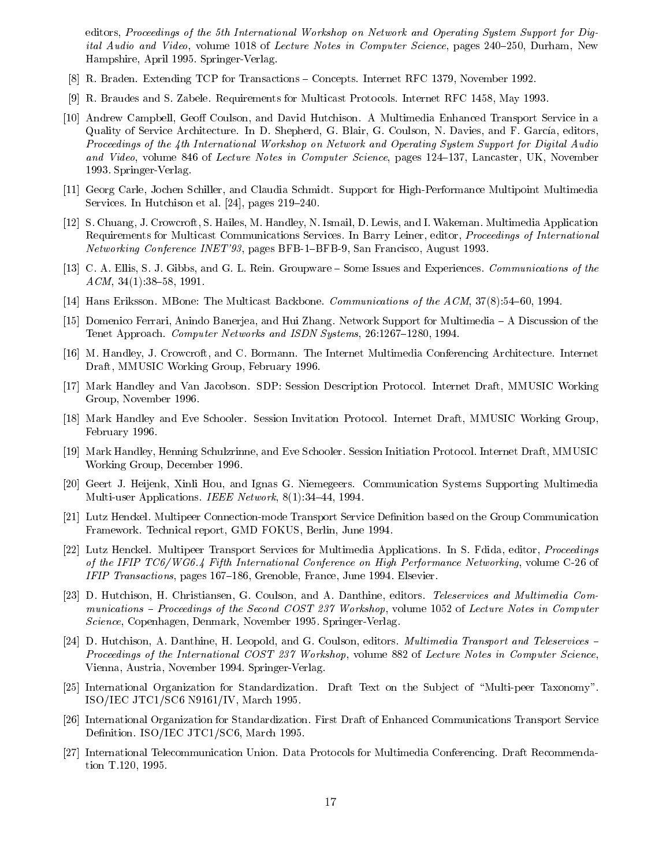editors, Proceedings of the 5th International Workshop on Network and Operating System Support for Dig*ital Audio and Video, volume 1018 of Lecture Notes in Computer Science, pages 240–250, Durham, New* Hampshire, April 1995. Springer-Verlag.

- [8] R. Braden. Extending TCP for Transactions Concepts. Internet RFC 1379, November 1992.
- [9] R. Braudes and S. Zabele. Requirements for Multicast Protocols. Internet RFC 1458, May 1993.
- [10] Andrew Campbell, Geoff Coulson, and David Hutchison. A Multimedia Enhanced Transport Service in a Quality of Service Architecture. In D. Shepherd, G. Blair, G. Coulson, N. Davies, and F. García, editors, Proceedings of the 4th International Workshop on Network and Operating System Support for Digital Audio and Video, volume 846 of Lecture Notes in Computer Science, pages 124-137, Lancaster, UK, November 1993. Springer-Verlag.
- [11] Georg Carle, Jochen Schiller, and Claudia Schmidt. Support for High-Performance Multipoint Multimedia Services. In Hutchison et al.  $[24]$ , pages  $219–240$ .
- [12] S. Chuang, J. Crowcroft, S. Hailes, M. Handley, N. Ismail, D. Lewis, and I. Wakeman. Multimedia Application Requirements for Multicast Communications Services. In Barry Leiner, editor, Proceedings of International Networking Conference INET'93, pages BFB-1-BFB-9, San Francisco, August 1993.
- [13] C. A. Ellis, S. J. Gibbs, and G. L. Rein. Groupware Some Issues and Experiences. Communications of the  $ACM$ , 34(1):38-58, 1991.
- [14] Hans Eriksson. MBone: The Multicast Backbone. *Communications of the ACM*,  $37(8):54{-}60$ , 1994.
- [15] Domenico Ferrari, Anindo Banerjea, and Hui Zhang. Network Support for Multimedia { A Discussion of the Tenet Approach. Computer Networks and ISDN Systems, 26:1267-1280, 1994.
- [16] M. Handley, J. Crowcroft, and C. Bormann. The Internet Multimedia Conferencing Architecture. Internet Draft, MMUSIC Working Group, February 1996.
- [17] Mark Handley and Van Jacobson. SDP: Session Description Protocol. Internet Draft, MMUSIC Working Group, November 1996.
- [18] Mark Handley and Eve Schooler. Session Invitation Protocol. Internet Draft, MMUSIC Working Group, February 1996.
- [19] Mark Handley, Henning Schulzrinne, and Eve Schooler. Session Initiation Protocol. Internet Draft, MMUSIC Working Group, December 1996.
- [20] Geert J. Heijenk, Xinli Hou, and Ignas G. Niemegeers. Communication Systems Supporting Multimedia Multi-user Applications. IEEE Network,  $8(1):34-44, 1994$ .
- [21] Lutz Henckel. Multipeer Connection-mode Transport Service Denition based on the Group Communication Framework. Technical report, GMD FOKUS, Berlin, June 1994.
- [22] Lutz Henckel. Multipeer Transport Services for Multimedia Applications. In S. Fdida, editor, Proceedings of the IFIP TC6/WG6.4 Fifth International Conference on High Performance Networking, volume C-26 of IFIP Transactions, pages 167-186, Grenoble, France, June 1994. Elsevier.
- [23] D. Hutchison, H. Christiansen, G. Coulson, and A. Danthine, editors. Teleservices and Multimedia Communications – Proceedings of the Second COST 237 Workshop, volume 1052 of Lecture Notes in Computer Science, Copenhagen, Denmark, November 1995. Springer-Verlag.
- [24] D. Hutchison, A. Danthine, H. Leopold, and G. Coulson, editors. *Multimedia Transport and Teleservices* Proceedings of the International COST 237 Workshop, volume 882 of Lecture Notes in Computer Science, Vienna, Austria, November 1994. Springer-Verlag.
- [25] International Organization for Standardization. Draft Text on the Subject of "Multi-peer Taxonomy". ISO/IEC JTC1/SC6 N9161/IV, March 1995.
- [26] International Organization for Standardization. First Draft of Enhanced Communications Transport Service Definition. ISO/IEC JTC1/SC6, March 1995.
- [27] International Telecommunication Union. Data Protocols for Multimedia Conferencing. Draft Recommendation T.120, 1995.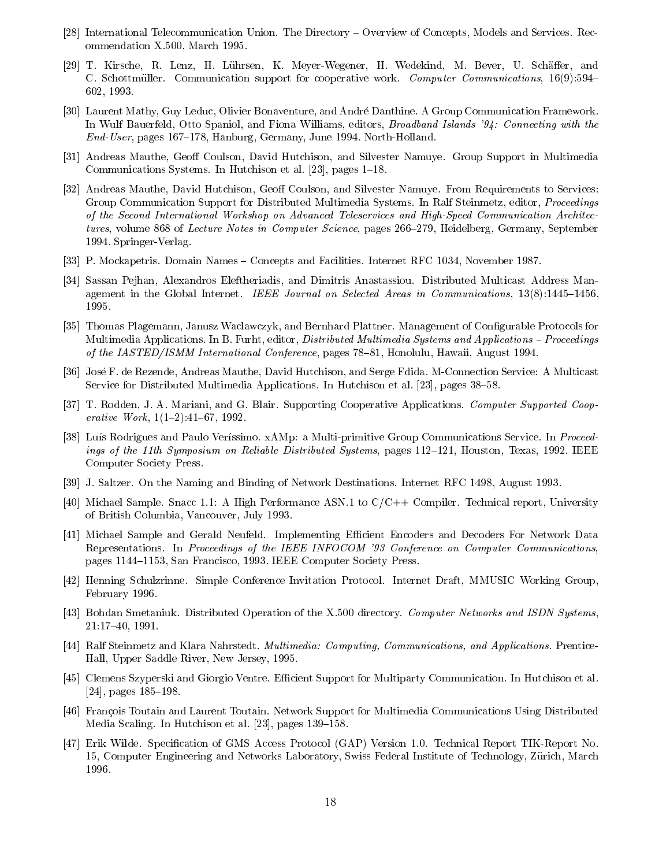- [28] International Telecommunication Union. The Directory Overview of Concepts, Models and Services. Recommendation X.500, March 1995.
- [29] T. Kirsche, R. Lenz, H. Lührsen, K. Meyer-Wegener, H. Wedekind, M. Bever, U. Schäffer, and C. Schottmüller. Communication support for cooperative work. Computer Communications, 16(9):594-602, 1993.
- [30] Laurent Mathy, Guy Leduc, Olivier Bonaventure, and Andre Danthine. A Group Communication Framework. In Wulf Bauerfeld, Otto Spaniol, and Fiona Williams, editors, Broadband Islands '94: Connecting with the  $End-User$ , pages 167-178, Hanburg, Germany, June 1994. North-Holland.
- [31] Andreas Mauthe, Geoff Coulson, David Hutchison, and Silvester Namuye. Group Support in Multimedia Communications Systems. In Hutchison et al. [23], pages 1–18.
- [32] Andreas Mauthe, David Hutchison, Geoff Coulson, and Silvester Namuye. From Requirements to Services: Group Communication Support for Distributed Multimedia Systems. In Ralf Steinmetz, editor, Proceedings of the Second International Workshop on Advanced Teleservices and High-Speed Communication Architectures, volume 868 of Lecture Notes in Computer Science, pages 266-279, Heidelberg, Germany, September 1994. Springer-Verlag.
- [33] P. Mockapetris. Domain Names Concepts and Facilities. Internet RFC 1034, November 1987.
- [34] Sassan Pejhan, Alexandros Eleftheriadis, and Dimitris Anastassiou. Distributed Multicast Address Management in the Global Internet. IEEE Journal on Selected Areas in Communications, 13(8):1445-1456, 1995.
- [35] Thomas Plagemann, Janusz Waclawczyk, and Bernhard Plattner. Management of Configurable Protocols for Multimedia Applications. In B. Furht, editor, *Distributed Multimedia Systems and Applications – Proceedings* of the IASTED/ISMM International Conference, pages 78–81, Honolulu, Hawaii, August 1994.
- [36] Jose F. de Rezende, Andreas Mauthe, David Hutchison, and Serge Fdida. M-Connection Service: A Multicast Service for Distributed Multimedia Applications. In Hutchison et al. [23], pages 38–58.
- [37] T. Rodden, J. A. Mariani, and G. Blair. Supporting Cooperative Applications. Computer Supported Cooperative Work,  $1(1–2):41–67$ , 1992.
- [38] Luís Rodrigues and Paulo Veríssimo. xAMp: a Multi-primitive Group Communications Service. In Proceedings of the 11th Symposium on Reliable Distributed Systems, pages 112-121, Houston, Texas, 1992. IEEE Computer Society Press.
- [39] J. Saltzer. On the Naming and Binding of Network Destinations. Internet RFC 1498, August 1993.
- [40] Michael Sample. Snacc 1.1: A High Performance ASN.1 to C/C++ Compiler. Technical report, University of British Columbia, Vancouver, July 1993.
- [41] Michael Sample and Gerald Neufeld. Implementing Efficient Encoders and Decoders For Network Data Representations. In Proceedings of the IEEE INFOCOM '93 Conference on Computer Communications, pages 1144-1153, San Francisco, 1993. IEEE Computer Society Press.
- [42] Henning Schulzrinne. Simple Conference Invitation Protocol. Internet Draft, MMUSIC Working Group, February 1996.
- [43] Bohdan Smetaniuk. Distributed Operation of the X.500 directory. Computer Networks and ISDN Systems, 21:17{40, 1991.
- [44] Ralf Steinmetz and Klara Nahrstedt. Multimedia: Computing, Communications, and Applications. Prentice-Hall, Upper Saddle River, New Jersey, 1995.
- [45] Clemens Szyperski and Giorgio Ventre. Efficient Support for Multiparty Communication. In Hutchison et al. [24], pages  $185-198$ .
- [46] Francois Toutain and Laurent Toutain. Network Support for Multimedia Communications Using Distributed Media Scaling. In Hutchison et al.  $[23]$ , pages  $139-158$ .
- [47] Erik Wilde. Specification of GMS Access Protocol (GAP) Version 1.0. Technical Report TIK-Report No. 15, Computer Engineering and Networks Laboratory, Swiss Federal Institute of Technology, Zurich, March 1996.